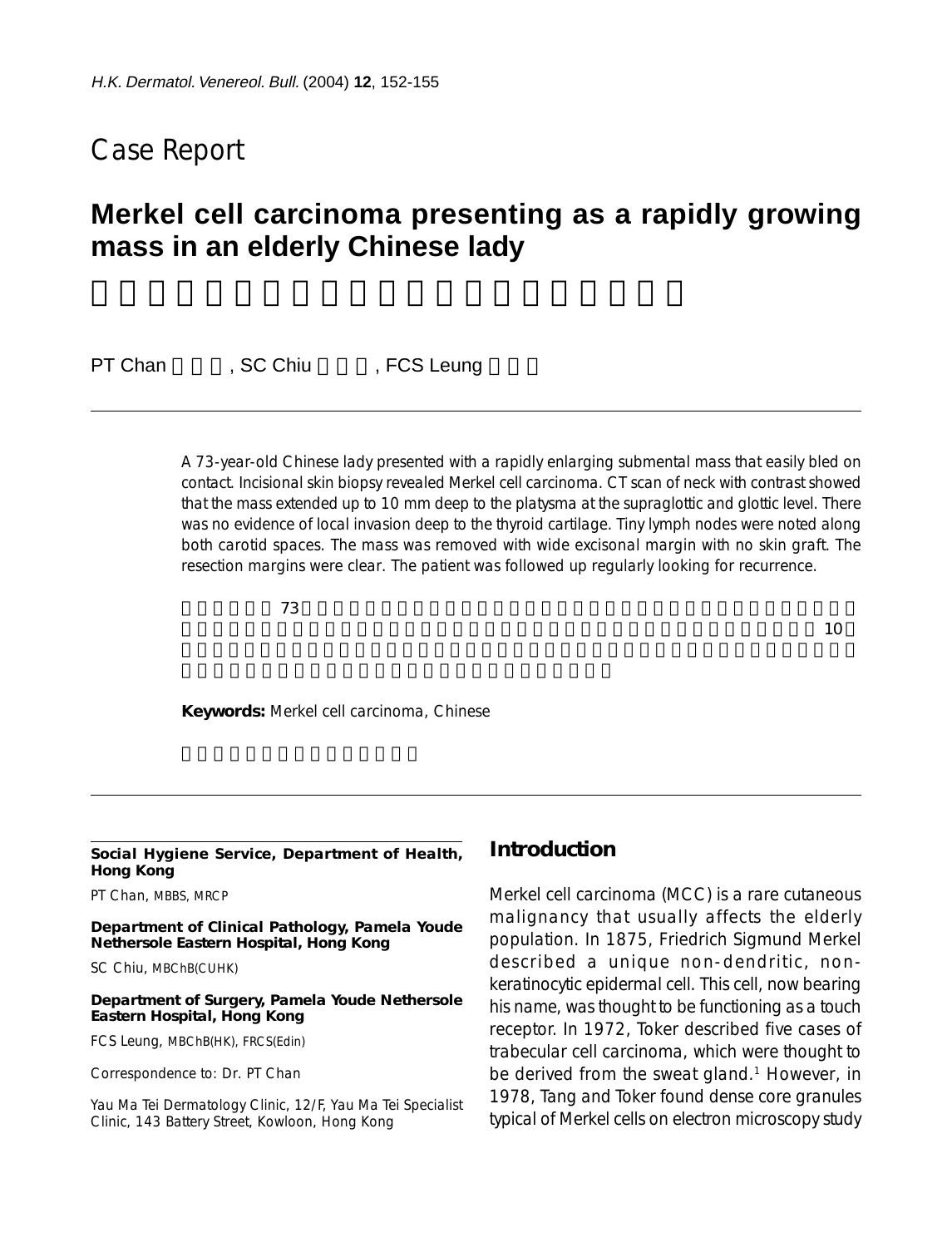## Case Report

# **Merkel cell carcinoma presenting as a rapidly growing mass in an elderly Chinese lady**

PT Chan , SC Chiu , FCS Leung

A 73-year-old Chinese lady presented with a rapidly enlarging submental mass that easily bled on contact. Incisional skin biopsy revealed Merkel cell carcinoma. CT scan of neck with contrast showed that the mass extended up to 10 mm deep to the platysma at the supraglottic and glottic level. There was no evidence of local invasion deep to the thyroid cartilage. Tiny lymph nodes were noted along both carotid spaces. The mass was removed with wide excisonal margin with no skin graft. The resection margins were clear. The patient was followed up regularly looking for recurrence.

 $\overline{73}$ 

 $\mathbf{a} \geq 3$ 

**Keywords:** Merkel cell carcinoma, Chinese

#### **Social Hygiene Service, Department of Health, Hong Kong**

PT Chan, MBBS, MRCP

**Department of Clinical Pathology, Pamela Youde Nethersole Eastern Hospital, Hong Kong**

SC Chiu, MBChB(CUHK)

#### **Department of Surgery, Pamela Youde Nethersole Eastern Hospital, Hong Kong**

FCS Leung, MBChB(HK), FRCS(Edin)

Correspondence to: Dr. PT Chan

Yau Ma Tei Dermatology Clinic, 12/F, Yau Ma Tei Specialist Clinic, 143 Battery Street, Kowloon, Hong Kong

#### **Introduction**

Merkel cell carcinoma (MCC) is a rare cutaneous malignancy that usually affects the elderly population. In 1875, Friedrich Sigmund Merkel described a unique non-dendritic, nonkeratinocytic epidermal cell. This cell, now bearing his name, was thought to be functioning as a touch receptor. In 1972, Toker described five cases of trabecular cell carcinoma, which were thought to be derived from the sweat gland.<sup>1</sup> However, in 1978, Tang and Toker found dense core granules typical of Merkel cells on electron microscopy study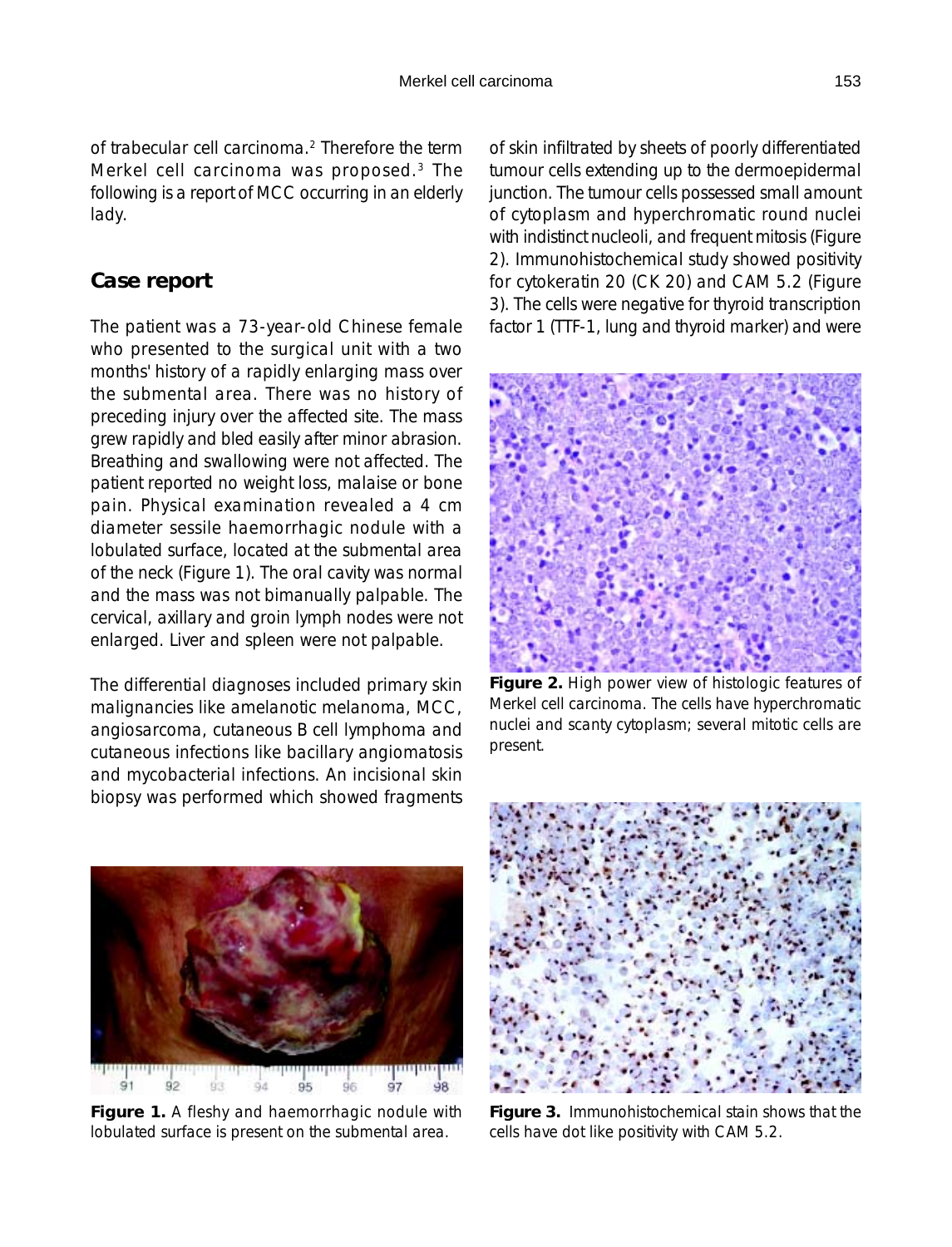of trabecular cell carcinoma.2 Therefore the term Merkel cell carcinoma was proposed.3 The following is a report of MCC occurring in an elderly lady.

### **Case report**

The patient was a 73-year-old Chinese female who presented to the surgical unit with a two months' history of a rapidly enlarging mass over the submental area. There was no history of preceding injury over the affected site. The mass grew rapidly and bled easily after minor abrasion. Breathing and swallowing were not affected. The patient reported no weight loss, malaise or bone pain. Physical examination revealed a 4 cm diameter sessile haemorrhagic nodule with a lobulated surface, located at the submental area of the neck (Figure 1). The oral cavity was normal and the mass was not bimanually palpable. The cervical, axillary and groin lymph nodes were not enlarged. Liver and spleen were not palpable.

The differential diagnoses included primary skin malignancies like amelanotic melanoma, MCC, angiosarcoma, cutaneous B cell lymphoma and cutaneous infections like bacillary angiomatosis and mycobacterial infections. An incisional skin biopsy was performed which showed fragments



 $91$  $92$  $93$  $94$  $95$ 96 97 98

**Figure 1.** A fleshy and haemorrhagic nodule with lobulated surface is present on the submental area.

of skin infiltrated by sheets of poorly differentiated tumour cells extending up to the dermoepidermal junction. The tumour cells possessed small amount of cytoplasm and hyperchromatic round nuclei with indistinct nucleoli, and frequent mitosis (Figure 2). Immunohistochemical study showed positivity for cytokeratin 20 (CK 20) and CAM 5.2 (Figure 3). The cells were negative for thyroid transcription factor 1 (TTF-1, lung and thyroid marker) and were



**Figure 2.** High power view of histologic features of Merkel cell carcinoma. The cells have hyperchromatic nuclei and scanty cytoplasm; several mitotic cells are present.



**Figure 3.** Immunohistochemical stain shows that the cells have dot like positivity with CAM 5.2.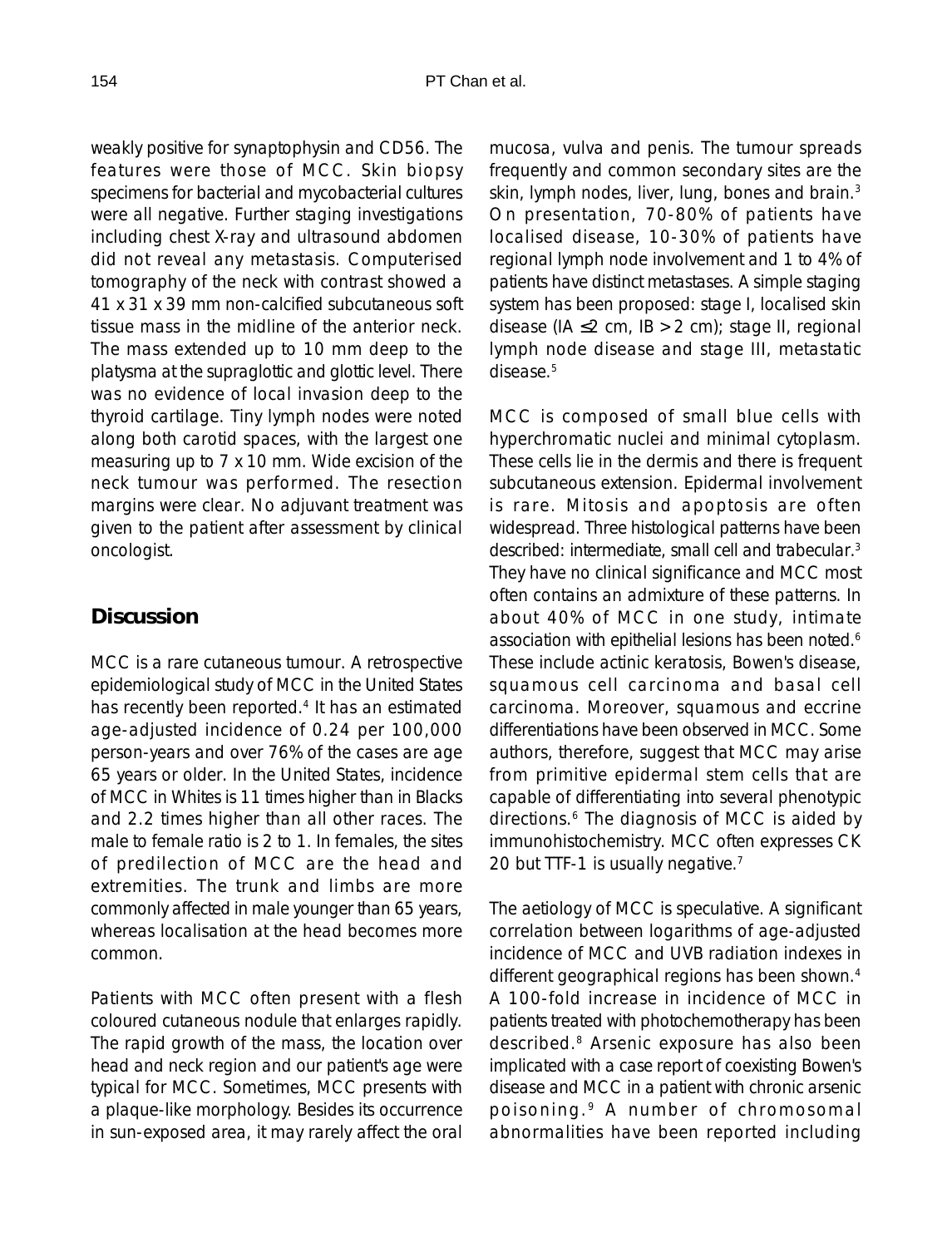weakly positive for synaptophysin and CD56. The features were those of MCC. Skin biopsy specimens for bacterial and mycobacterial cultures were all negative. Further staging investigations including chest X-ray and ultrasound abdomen did not reveal any metastasis. Computerised tomography of the neck with contrast showed a 41 x 31 x 39 mm non-calcified subcutaneous soft tissue mass in the midline of the anterior neck. The mass extended up to 10 mm deep to the platysma at the supraglottic and glottic level. There was no evidence of local invasion deep to the thyroid cartilage. Tiny lymph nodes were noted along both carotid spaces, with the largest one measuring up to 7 x 10 mm. Wide excision of the neck tumour was performed. The resection margins were clear. No adjuvant treatment was given to the patient after assessment by clinical oncologist.

## **Discussion**

MCC is a rare cutaneous tumour. A retrospective epidemiological study of MCC in the United States has recently been reported.<sup>4</sup> It has an estimated age-adjusted incidence of 0.24 per 100,000 person-years and over 76% of the cases are age 65 years or older. In the United States, incidence of MCC in Whites is 11 times higher than in Blacks and 2.2 times higher than all other races. The male to female ratio is 2 to 1. In females, the sites of predilection of MCC are the head and extremities. The trunk and limbs are more commonly affected in male younger than 65 years, whereas localisation at the head becomes more common.

Patients with MCC often present with a flesh coloured cutaneous nodule that enlarges rapidly. The rapid growth of the mass, the location over head and neck region and our patient's age were typical for MCC. Sometimes, MCC presents with a plaque-like morphology. Besides its occurrence in sun-exposed area, it may rarely affect the oral mucosa, vulva and penis. The tumour spreads frequently and common secondary sites are the skin, lymph nodes, liver, lung, bones and brain.<sup>3</sup> On presentation, 70-80% of patients have localised disease, 10-30% of patients have regional lymph node involvement and 1 to 4% of patients have distinct metastases. A simple staging system has been proposed: stage I, localised skin disease ( $IA ≤ 2 cm$ ,  $IB > 2 cm$ ); stage II, regional lymph node disease and stage III, metastatic disease.5

MCC is composed of small blue cells with hyperchromatic nuclei and minimal cytoplasm. These cells lie in the dermis and there is frequent subcutaneous extension. Epidermal involvement is rare. Mitosis and apoptosis are often widespread. Three histological patterns have been described: intermediate, small cell and trabecular.3 They have no clinical significance and MCC most often contains an admixture of these patterns. In about 40% of MCC in one study, intimate association with epithelial lesions has been noted.<sup>6</sup> These include actinic keratosis, Bowen's disease, squamous cell carcinoma and basal cell carcinoma. Moreover, squamous and eccrine differentiations have been observed in MCC. Some authors, therefore, suggest that MCC may arise from primitive epidermal stem cells that are capable of differentiating into several phenotypic directions.6 The diagnosis of MCC is aided by immunohistochemistry. MCC often expresses CK 20 but TTF-1 is usually negative.<sup>7</sup>

The aetiology of MCC is speculative. A significant correlation between logarithms of age-adjusted incidence of MCC and UVB radiation indexes in different geographical regions has been shown.4 A 100-fold increase in incidence of MCC in patients treated with photochemotherapy has been described.8 Arsenic exposure has also been implicated with a case report of coexisting Bowen's disease and MCC in a patient with chronic arsenic poisoning. 9 A number of chromosomal abnormalities have been reported including